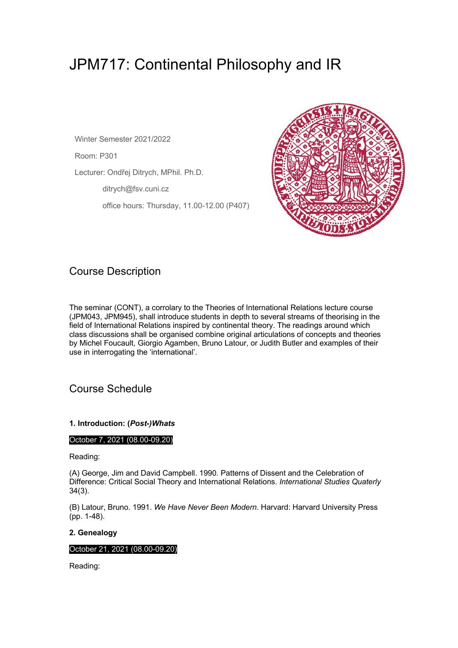# JPM717: Continental Philosophy and IR

Winter Semester 2021/2022

Room: P301

Lecturer: Ondřej Ditrych, MPhil. Ph.D.

ditrych@fsv.cuni.cz

office hours: Thursday, 11.00-12.00 (P407)



# Course Description

The seminar (CONT), a corrolary to the Theories of International Relations lecture course (JPM043, JPM945), shall introduce students in depth to several streams of theorising in the field of International Relations inspired by continental theory. The readings around which class discussions shall be organised combine original articulations of concepts and theories by Michel Foucault, Giorgio Agamben, Bruno Latour, or Judith Butler and examples of their use in interrogating the 'international'.

# Course Schedule

# **1. Introduction: (***Post-)Whats*

# October 7, 2021 (08.00-09.20)

Reading:

(A) George, Jim and David Campbell. 1990. Patterns of Dissent and the Celebration of Difference: Critical Social Theory and International Relations. *International Studies Quaterly* 34(3).

(B) Latour, Bruno. 1991. *We Have Never Been Modern*. Harvard: Harvard University Press (pp. 1-48).

# **2. Genealogy**

# October 21, 2021 (08.00-09.20)

Reading: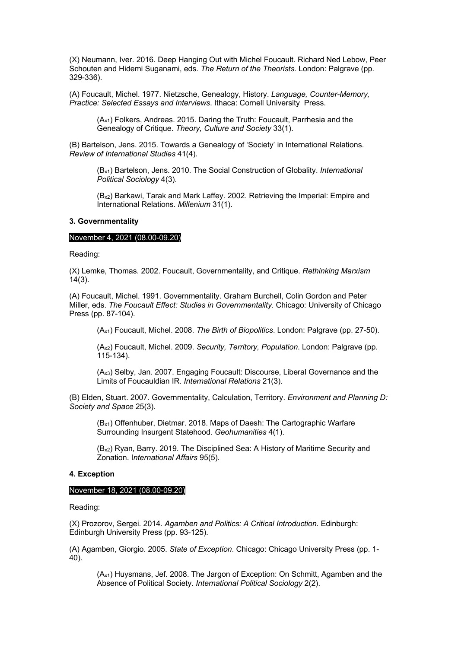(X) Neumann, Iver. 2016. Deep Hanging Out with Michel Foucault. Richard Ned Lebow, Peer Schouten and Hidemi Suganami, eds. *The Return of the Theorists*. London: Palgrave (pp. 329-336).

(A) Foucault, Michel. 1977. Nietzsche, Genealogy, History. *Language, Counter-Memory, Practice: Selected Essays and Interviews*. Ithaca: Cornell University Press.

(Ax1) Folkers, Andreas. 2015. Daring the Truth: Foucault, Parrhesia and the Genealogy of Critique. *Theory, Culture and Society* 33(1).

(B) Bartelson, Jens. 2015. Towards a Genealogy of 'Society' in International Relations. *Review of International Studies* 41(4).

(Bx1) Bartelson, Jens. 2010. The Social Construction of Globality. *International Political Sociology* 4(3).

(Bx2) Barkawi, Tarak and Mark Laffey. 2002. Retrieving the Imperial: Empire and International Relations. *Millenium* 31(1).

#### **3. Governmentality**

#### November 4, 2021 (08.00-09.20)

Reading:

(X) Lemke, Thomas. 2002. Foucault, Governmentality, and Critique. *Rethinking Marxism*  $14(3)$ .

(A) Foucault, Michel. 1991. Governmentality. Graham Burchell, Colin Gordon and Peter Miller, eds. *The Foucault Effect: Studies in Governmentality*. Chicago: University of Chicago Press (pp. 87-104).

(Ax1) Foucault, Michel. 2008. *The Birth of Biopolitics*. London: Palgrave (pp. 27-50).

(Ax2) Foucault, Michel. 2009. *Security, Territory, Population*. London: Palgrave (pp. 115-134).

(Ax3) Selby, Jan. 2007. Engaging Foucault: Discourse, Liberal Governance and the Limits of Foucauldian IR. *International Relations* 21(3).

(B) Elden, Stuart. 2007. Governmentality, Calculation, Territory. *Environment and Planning D: Society and Space* 25(3).

(Bx1) Offenhuber, Dietmar. 2018. Maps of Daesh: The Cartographic Warfare Surrounding Insurgent Statehood. *Geohumanities* 4(1).

(Bx2) Ryan, Barry. 2019. The Disciplined Sea: A History of Maritime Security and Zonation. I*nternational Affairs* 95(5).

#### **4. Exception**

#### November 18, 2021 (08.00-09.20)

Reading:

(X) Prozorov, Sergei. 2014. *Agamben and Politics: A Critical Introduction*. Edinburgh: Edinburgh University Press (pp. 93-125).

(A) Agamben, Giorgio. 2005. *State of Exception*. Chicago: Chicago University Press (pp. 1- 40).

(Ax1) Huysmans, Jef. 2008. The Jargon of Exception: On Schmitt, Agamben and the Absence of Political Society. *International Political Sociology* 2(2).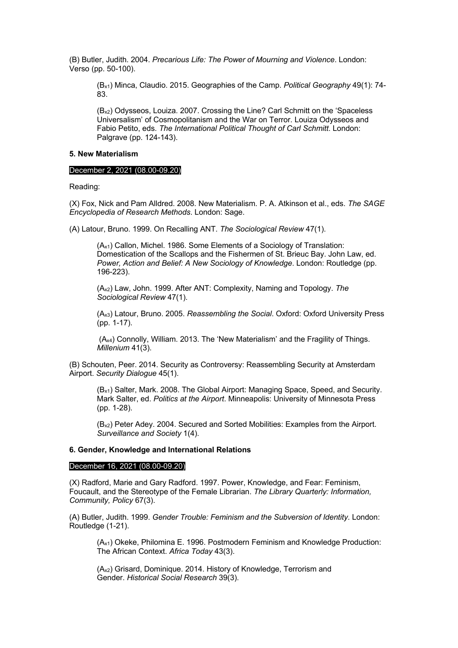(B) Butler, Judith. 2004. *Precarious Life: The Power of Mourning and Violence*. London: Verso (pp. 50-100).

(Bx1) Minca, Claudio. 2015. Geographies of the Camp. *Political Geography* 49(1): 74- 83.

(Bx2) Odysseos, Louiza. 2007. Crossing the Line? Carl Schmitt on the 'Spaceless Universalism' of Cosmopolitanism and the War on Terror. Louiza Odysseos and Fabio Petito, eds. *The International Political Thought of Carl Schmitt*. London: Palgrave (pp. 124-143).

#### **5. New Materialism**

#### December 2, 2021 (08.00-09.20)

Reading:

(X) Fox, Nick and Pam Alldred. 2008. New Materialism. P. A. Atkinson et al., eds. *The SAGE Encyclopedia of Research Methods*. London: Sage.

(A) Latour, Bruno. 1999. On Recalling ANT. *The Sociological Review* 47(1).

(Ax1) Callon, Michel. 1986. Some Elements of a Sociology of Translation: Domestication of the Scallops and the Fishermen of St. Brieuc Bay. John Law, ed. *Power, Action and Belief: A New Sociology of Knowledge*. London: Routledge (pp. 196-223).

(Ax2) Law, John. 1999. After ANT: Complexity, Naming and Topology. *The Sociological Review* 47(1).

(Ax3) Latour, Bruno. 2005. *Reassembling the Social*. Oxford: Oxford University Press (pp. 1-17).

(Ax4) Connolly, William. 2013. The 'New Materialism' and the Fragility of Things. *Millenium* 41(3).

(B) Schouten, Peer. 2014. Security as Controversy: Reassembling Security at Amsterdam Airport. *Security Dialogue* 45(1).

(Bx1) Salter, Mark. 2008. The Global Airport: Managing Space, Speed, and Security. Mark Salter, ed. *Politics at the Airport*. Minneapolis: University of Minnesota Press (pp. 1-28).

(Bx2) Peter Adey. 2004. Secured and Sorted Mobilities: Examples from the Airport. *Surveillance and Society* 1(4).

### **6. Gender, Knowledge and International Relations**

#### December 16, 2021 (08.00-09.20)

(X) Radford, Marie and Gary Radford. 1997. Power, Knowledge, and Fear: Feminism, Foucault, and the Stereotype of the Female Librarian. *The Library Quarterly: Information, Community, Policy* 67(3).

(A) Butler, Judith. 1999. *Gender Trouble: Feminism and the Subversion of Identity*. London: Routledge (1-21).

(Ax1) Okeke, Philomina E. 1996. Postmodern Feminism and Knowledge Production: The African Context. *Africa Today* 43(3).

(Ax2) Grisard, Dominique. 2014. History of Knowledge, Terrorism and Gender. *Historical Social Research* 39(3).